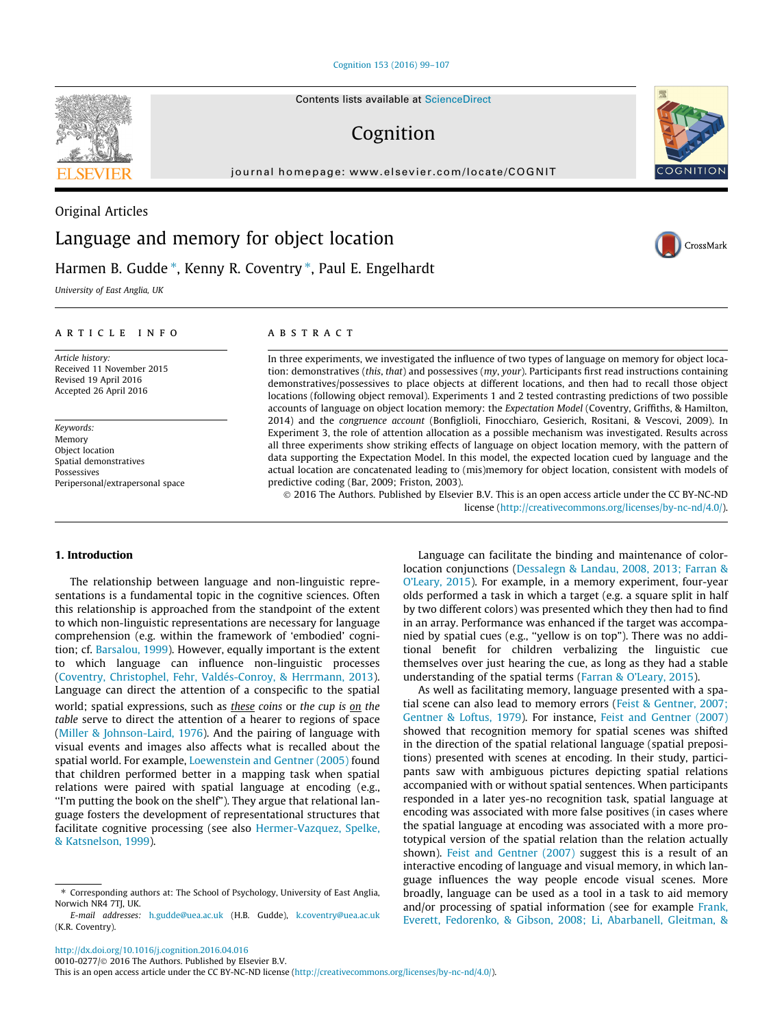#### [Cognition 153 \(2016\) 99–107](http://dx.doi.org/10.1016/j.cognition.2016.04.016)

## Cognition

journal homepage: [www.elsevier.com/locate/COGNIT](http://www.elsevier.com/locate/COGNIT)

# Original Articles Language and memory for object location

Harmen B. Gudde \*, Kenny R. Coventry \*, Paul E. Engelhardt

University of East Anglia, UK

## article info

Article history: Received 11 November 2015 Revised 19 April 2016 Accepted 26 April 2016

Keywords: Memory Object location Spatial demonstratives Possessives Peripersonal/extrapersonal space

## **ABSTRACT**

In three experiments, we investigated the influence of two types of language on memory for object location: demonstratives (this, that) and possessives (my, your). Participants first read instructions containing demonstratives/possessives to place objects at different locations, and then had to recall those object locations (following object removal). Experiments 1 and 2 tested contrasting predictions of two possible accounts of language on object location memory: the Expectation Model (Coventry, Griffiths, & Hamilton, 2014) and the congruence account (Bonfiglioli, Finocchiaro, Gesierich, Rositani, & Vescovi, 2009). In Experiment 3, the role of attention allocation as a possible mechanism was investigated. Results across all three experiments show striking effects of language on object location memory, with the pattern of data supporting the Expectation Model. In this model, the expected location cued by language and the actual location are concatenated leading to (mis)memory for object location, consistent with models of predictive coding (Bar, 2009; Friston, 2003).

 2016 The Authors. Published by Elsevier B.V. This is an open access article under the CC BY-NC-ND license (<http://creativecommons.org/licenses/by-nc-nd/4.0/>).

## 1. Introduction

The relationship between language and non-linguistic representations is a fundamental topic in the cognitive sciences. Often this relationship is approached from the standpoint of the extent to which non-linguistic representations are necessary for language comprehension (e.g. within the framework of 'embodied' cognition; cf. [Barsalou, 1999\)](#page-7-0). However, equally important is the extent to which language can influence non-linguistic processes ([Coventry, Christophel, Fehr, Valdés-Conroy, & Herrmann, 2013\)](#page-7-0). Language can direct the attention of a conspecific to the spatial world; spatial expressions, such as these coins or the cup is on the table serve to direct the attention of a hearer to regions of space ([Miller & Johnson-Laird, 1976\)](#page-8-0). And the pairing of language with visual events and images also affects what is recalled about the spatial world. For example, [Loewenstein and Gentner \(2005\)](#page-8-0) found that children performed better in a mapping task when spatial relations were paired with spatial language at encoding (e.g., ''I'm putting the book on the shelf"). They argue that relational language fosters the development of representational structures that facilitate cognitive processing (see also [Hermer-Vazquez, Spelke,](#page-8-0) [& Katsnelson, 1999\)](#page-8-0).

<http://dx.doi.org/10.1016/j.cognition.2016.04.016>

0010-0277/© 2016 The Authors. Published by Elsevier B.V.

This is an open access article under the CC BY-NC-ND license ([http://creativecommons.org/licenses/by-nc-nd/4.0/\)](http://creativecommons.org/licenses/by-nc-nd/4.0/).





CrossMark



As well as facilitating memory, language presented with a spatial scene can also lead to memory errors ([Feist & Gentner, 2007;](#page-8-0) [Gentner & Loftus, 1979\)](#page-8-0). For instance, [Feist and Gentner \(2007\)](#page-8-0) showed that recognition memory for spatial scenes was shifted in the direction of the spatial relational language (spatial prepositions) presented with scenes at encoding. In their study, participants saw with ambiguous pictures depicting spatial relations accompanied with or without spatial sentences. When participants responded in a later yes-no recognition task, spatial language at encoding was associated with more false positives (in cases where the spatial language at encoding was associated with a more prototypical version of the spatial relation than the relation actually shown). [Feist and Gentner \(2007\)](#page-8-0) suggest this is a result of an interactive encoding of language and visual memory, in which language influences the way people encode visual scenes. More broadly, language can be used as a tool in a task to aid memory and/or processing of spatial information (see for example [Frank,](#page-8-0) [Everett, Fedorenko, & Gibson, 2008; Li, Abarbanell, Gleitman, &](#page-8-0)

<sup>⇑</sup> Corresponding authors at: The School of Psychology, University of East Anglia, Norwich NR4 7TJ, UK.

E-mail addresses: [h.gudde@uea.ac.uk](mailto:h.gudde@uea.ac.uk) (H.B. Gudde), [k.coventry@uea.ac.uk](mailto:k.coventry@uea.ac.uk            ) (K.R. Coventry).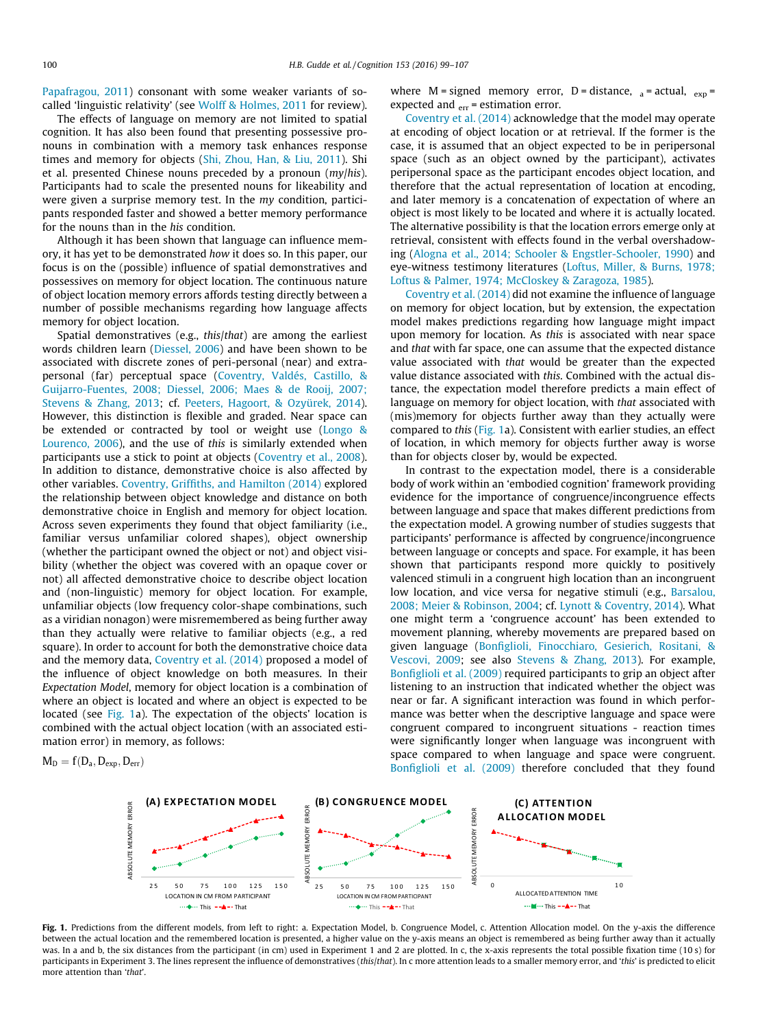<span id="page-1-0"></span>[Papafragou, 2011\)](#page-8-0) consonant with some weaker variants of socalled 'linguistic relativity' (see [Wolff & Holmes, 2011](#page-8-0) for review).

The effects of language on memory are not limited to spatial cognition. It has also been found that presenting possessive pronouns in combination with a memory task enhances response times and memory for objects [\(Shi, Zhou, Han, & Liu, 2011\)](#page-8-0). Shi et al. presented Chinese nouns preceded by a pronoun (my/his). Participants had to scale the presented nouns for likeability and were given a surprise memory test. In the my condition, participants responded faster and showed a better memory performance for the nouns than in the his condition.

Although it has been shown that language can influence memory, it has yet to be demonstrated how it does so. In this paper, our focus is on the (possible) influence of spatial demonstratives and possessives on memory for object location. The continuous nature of object location memory errors affords testing directly between a number of possible mechanisms regarding how language affects memory for object location.

Spatial demonstratives (e.g., this/that) are among the earliest words children learn [\(Diessel, 2006\)](#page-8-0) and have been shown to be associated with discrete zones of peri-personal (near) and extrapersonal (far) perceptual space [\(Coventry, Valdés, Castillo, &](#page-7-0) [Guijarro-Fuentes, 2008; Diessel, 2006; Maes & de Rooij, 2007;](#page-7-0) [Stevens & Zhang, 2013](#page-7-0); cf. [Peeters, Hagoort, & Ozyürek, 2014\)](#page-8-0). However, this distinction is flexible and graded. Near space can be extended or contracted by tool or weight use ([Longo &](#page-8-0) [Lourenco, 2006\)](#page-8-0), and the use of this is similarly extended when participants use a stick to point at objects ([Coventry et al., 2008\)](#page-7-0). In addition to distance, demonstrative choice is also affected by other variables. [Coventry, Griffiths, and Hamilton \(2014\)](#page-7-0) explored the relationship between object knowledge and distance on both demonstrative choice in English and memory for object location. Across seven experiments they found that object familiarity (i.e., familiar versus unfamiliar colored shapes), object ownership (whether the participant owned the object or not) and object visibility (whether the object was covered with an opaque cover or not) all affected demonstrative choice to describe object location and (non-linguistic) memory for object location. For example, unfamiliar objects (low frequency color-shape combinations, such as a viridian nonagon) were misremembered as being further away than they actually were relative to familiar objects (e.g., a red square). In order to account for both the demonstrative choice data and the memory data, [Coventry et al. \(2014\)](#page-7-0) proposed a model of the influence of object knowledge on both measures. In their Expectation Model, memory for object location is a combination of where an object is located and where an object is expected to be located (see Fig. 1a). The expectation of the objects' location is combined with the actual object location (with an associated estimation error) in memory, as follows:

 $M_D = f(D_a, D_{exp}, D_{err})$ 

where M = signed memory error, D = distance,  $_{a}$  = actual,  $_{\rm exp}$  = expected and  $_{\text{err}}$  = estimation error.

[Coventry et al. \(2014\)](#page-7-0) acknowledge that the model may operate at encoding of object location or at retrieval. If the former is the case, it is assumed that an object expected to be in peripersonal space (such as an object owned by the participant), activates peripersonal space as the participant encodes object location, and therefore that the actual representation of location at encoding, and later memory is a concatenation of expectation of where an object is most likely to be located and where it is actually located. The alternative possibility is that the location errors emerge only at retrieval, consistent with effects found in the verbal overshadowing ([Alogna et al., 2014; Schooler & Engstler-Schooler, 1990\)](#page-7-0) and eye-witness testimony literatures ([Loftus, Miller, & Burns, 1978;](#page-8-0) [Loftus & Palmer, 1974; McCloskey & Zaragoza, 1985](#page-8-0)).

[Coventry et al. \(2014\)](#page-7-0) did not examine the influence of language on memory for object location, but by extension, the expectation model makes predictions regarding how language might impact upon memory for location. As this is associated with near space and that with far space, one can assume that the expected distance value associated with that would be greater than the expected value distance associated with this. Combined with the actual distance, the expectation model therefore predicts a main effect of language on memory for object location, with that associated with (mis)memory for objects further away than they actually were compared to this (Fig. 1a). Consistent with earlier studies, an effect of location, in which memory for objects further away is worse than for objects closer by, would be expected.

In contrast to the expectation model, there is a considerable body of work within an 'embodied cognition' framework providing evidence for the importance of congruence/incongruence effects between language and space that makes different predictions from the expectation model. A growing number of studies suggests that participants' performance is affected by congruence/incongruence between language or concepts and space. For example, it has been shown that participants respond more quickly to positively valenced stimuli in a congruent high location than an incongruent low location, and vice versa for negative stimuli (e.g., [Barsalou,](#page-7-0) [2008; Meier & Robinson, 2004](#page-7-0); cf. [Lynott & Coventry, 2014\)](#page-8-0). What one might term a 'congruence account' has been extended to movement planning, whereby movements are prepared based on given language [\(Bonfiglioli, Finocchiaro, Gesierich, Rositani, &](#page-7-0) [Vescovi, 2009;](#page-7-0) see also [Stevens & Zhang, 2013](#page-8-0)). For example, [Bonfiglioli et al. \(2009\)](#page-7-0) required participants to grip an object after listening to an instruction that indicated whether the object was near or far. A significant interaction was found in which performance was better when the descriptive language and space were congruent compared to incongruent situations - reaction times were significantly longer when language was incongruent with space compared to when language and space were congruent. [Bonfiglioli et al. \(2009\)](#page-7-0) therefore concluded that they found



Fig. 1. Predictions from the different models, from left to right: a. Expectation Model, b. Congruence Model, c. Attention Allocation model. On the y-axis the difference between the actual location and the remembered location is presented, a higher value on the y-axis means an object is remembered as being further away than it actually was. In a and b, the six distances from the participant (in cm) used in Experiment 1 and 2 are plotted. In c, the x-axis represents the total possible fixation time (10 s) for participants in Experiment 3. The lines represent the influence of demonstratives (this/that). In c more attention leads to a smaller memory error, and 'this' is predicted to elicit more attention than 'that'.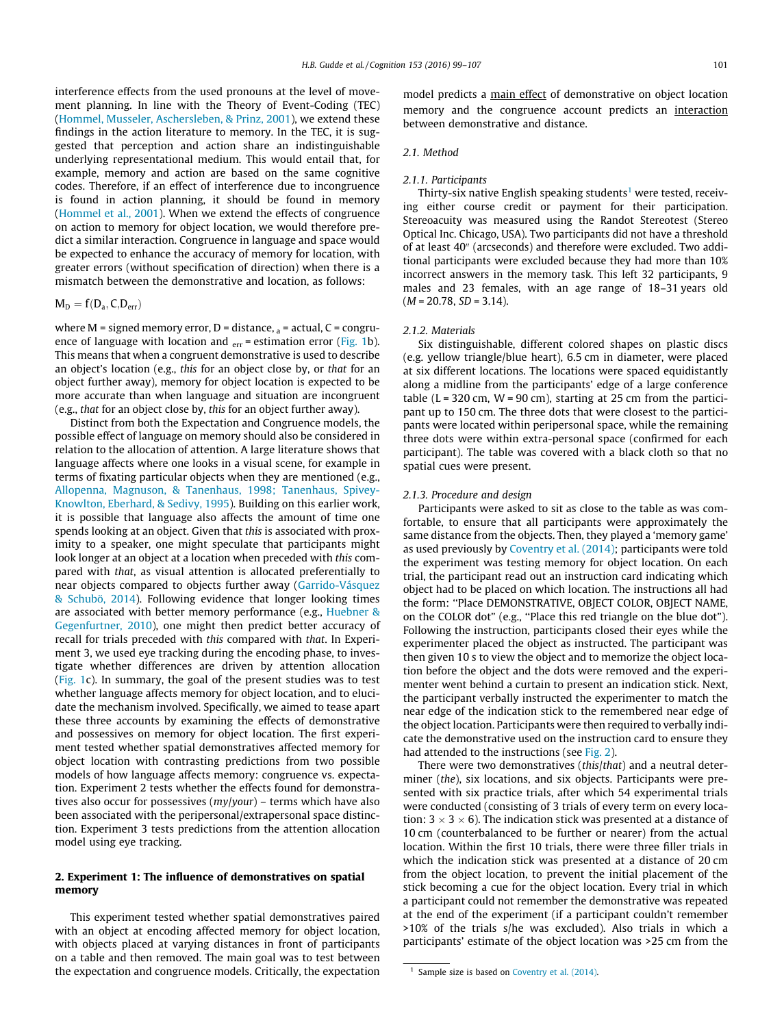interference effects from the used pronouns at the level of movement planning. In line with the Theory of Event-Coding (TEC) ([Hommel, Musseler, Aschersleben, & Prinz, 2001\)](#page-8-0), we extend these findings in the action literature to memory. In the TEC, it is suggested that perception and action share an indistinguishable underlying representational medium. This would entail that, for example, memory and action are based on the same cognitive codes. Therefore, if an effect of interference due to incongruence is found in action planning, it should be found in memory ([Hommel et al., 2001\)](#page-8-0). When we extend the effects of congruence on action to memory for object location, we would therefore predict a similar interaction. Congruence in language and space would be expected to enhance the accuracy of memory for location, with greater errors (without specification of direction) when there is a mismatch between the demonstrative and location, as follows:

$$
M_D = f(D_a, C, D_{err})
$$

where M = signed memory error, D = distance,  $_a$  = actual, C = congruence of language with location and  $_{err}$  = estimation error [\(Fig. 1b](#page-1-0)). This means that when a congruent demonstrative is used to describe an object's location (e.g., this for an object close by, or that for an object further away), memory for object location is expected to be more accurate than when language and situation are incongruent (e.g., that for an object close by, this for an object further away).

Distinct from both the Expectation and Congruence models, the possible effect of language on memory should also be considered in relation to the allocation of attention. A large literature shows that language affects where one looks in a visual scene, for example in terms of fixating particular objects when they are mentioned (e.g., [Allopenna, Magnuson, & Tanenhaus, 1998; Tanenhaus, Spivey-](#page-7-0)[Knowlton, Eberhard, & Sedivy, 1995](#page-7-0)). Building on this earlier work, it is possible that language also affects the amount of time one spends looking at an object. Given that this is associated with proximity to a speaker, one might speculate that participants might look longer at an object at a location when preceded with this compared with that, as visual attention is allocated preferentially to near objects compared to objects further away [\(Garrido-Vásquez](#page-8-0) [& Schubö, 2014\)](#page-8-0). Following evidence that longer looking times are associated with better memory performance (e.g., [Huebner &](#page-8-0) [Gegenfurtner, 2010](#page-8-0)), one might then predict better accuracy of recall for trials preceded with this compared with that. In Experiment 3, we used eye tracking during the encoding phase, to investigate whether differences are driven by attention allocation ([Fig. 1](#page-1-0)c). In summary, the goal of the present studies was to test whether language affects memory for object location, and to elucidate the mechanism involved. Specifically, we aimed to tease apart these three accounts by examining the effects of demonstrative and possessives on memory for object location. The first experiment tested whether spatial demonstratives affected memory for object location with contrasting predictions from two possible models of how language affects memory: congruence vs. expectation. Experiment 2 tests whether the effects found for demonstratives also occur for possessives (my/your) – terms which have also been associated with the peripersonal/extrapersonal space distinction. Experiment 3 tests predictions from the attention allocation model using eye tracking.

## 2. Experiment 1: The influence of demonstratives on spatial memory

This experiment tested whether spatial demonstratives paired with an object at encoding affected memory for object location, with objects placed at varying distances in front of participants on a table and then removed. The main goal was to test between the expectation and congruence models. Critically, the expectation

model predicts a main effect of demonstrative on object location memory and the congruence account predicts an interaction between demonstrative and distance.

### 2.1. Method

#### 2.1.1. Participants

Thirty-six native English speaking students<sup>1</sup> were tested, receiving either course credit or payment for their participation. Stereoacuity was measured using the Randot Stereotest (Stereo Optical Inc. Chicago, USA). Two participants did not have a threshold of at least 40" (arcseconds) and therefore were excluded. Two additional participants were excluded because they had more than 10% incorrect answers in the memory task. This left 32 participants, 9 males and 23 females, with an age range of 18–31 years old  $(M = 20.78, SD = 3.14).$ 

#### 2.1.2. Materials

Six distinguishable, different colored shapes on plastic discs (e.g. yellow triangle/blue heart), 6.5 cm in diameter, were placed at six different locations. The locations were spaced equidistantly along a midline from the participants' edge of a large conference table ( $L = 320$  cm,  $W = 90$  cm), starting at 25 cm from the participant up to 150 cm. The three dots that were closest to the participants were located within peripersonal space, while the remaining three dots were within extra-personal space (confirmed for each participant). The table was covered with a black cloth so that no spatial cues were present.

#### 2.1.3. Procedure and design

Participants were asked to sit as close to the table as was comfortable, to ensure that all participants were approximately the same distance from the objects. Then, they played a 'memory game' as used previously by [Coventry et al. \(2014\);](#page-7-0) participants were told the experiment was testing memory for object location. On each trial, the participant read out an instruction card indicating which object had to be placed on which location. The instructions all had the form: ''Place DEMONSTRATIVE, OBJECT COLOR, OBJECT NAME, on the COLOR dot" (e.g., ''Place this red triangle on the blue dot"). Following the instruction, participants closed their eyes while the experimenter placed the object as instructed. The participant was then given 10 s to view the object and to memorize the object location before the object and the dots were removed and the experimenter went behind a curtain to present an indication stick. Next, the participant verbally instructed the experimenter to match the near edge of the indication stick to the remembered near edge of the object location. Participants were then required to verbally indicate the demonstrative used on the instruction card to ensure they had attended to the instructions (see [Fig. 2](#page-3-0)).

There were two demonstratives (this/that) and a neutral determiner (the), six locations, and six objects. Participants were presented with six practice trials, after which 54 experimental trials were conducted (consisting of 3 trials of every term on every location:  $3 \times 3 \times 6$ ). The indication stick was presented at a distance of 10 cm (counterbalanced to be further or nearer) from the actual location. Within the first 10 trials, there were three filler trials in which the indication stick was presented at a distance of 20 cm from the object location, to prevent the initial placement of the stick becoming a cue for the object location. Every trial in which a participant could not remember the demonstrative was repeated at the end of the experiment (if a participant couldn't remember >10% of the trials s/he was excluded). Also trials in which a participants' estimate of the object location was >25 cm from the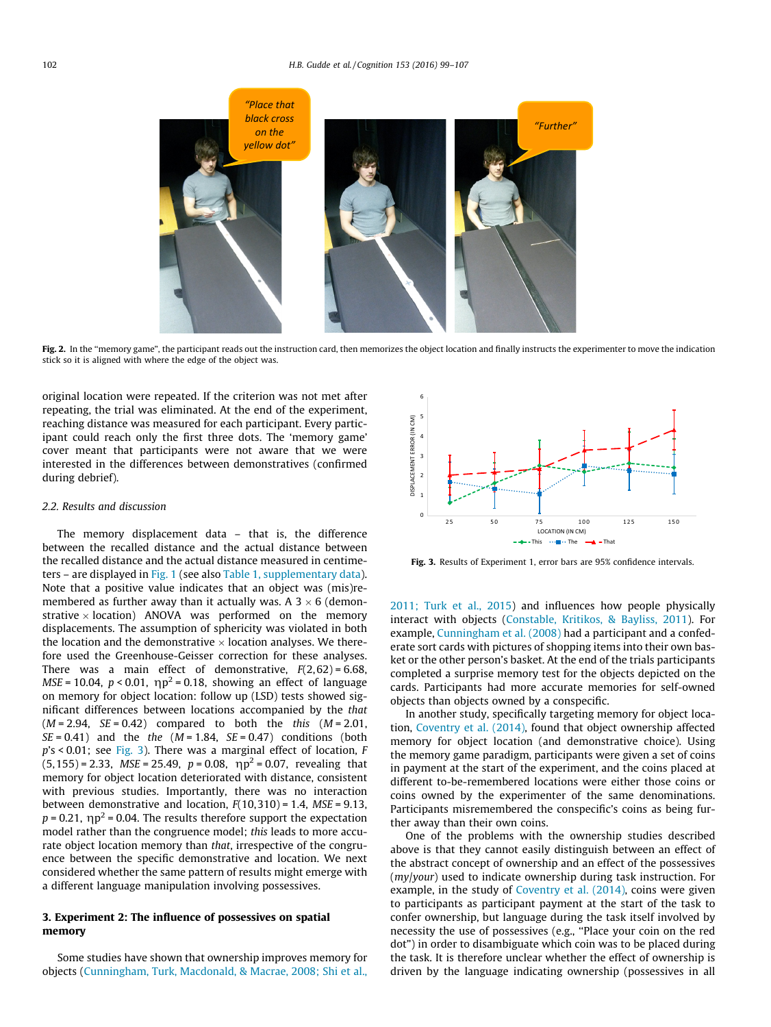<span id="page-3-0"></span>

Fig. 2. In the "memory game", the participant reads out the instruction card, then memorizes the object location and finally instructs the experimenter to move the indication stick so it is aligned with where the edge of the object was.

original location were repeated. If the criterion was not met after repeating, the trial was eliminated. At the end of the experiment, reaching distance was measured for each participant. Every participant could reach only the first three dots. The 'memory game' cover meant that participants were not aware that we were interested in the differences between demonstratives (confirmed during debrief).

#### 2.2. Results and discussion

The memory displacement data – that is, the difference between the recalled distance and the actual distance between the recalled distance and the actual distance measured in centimeters – are displayed in [Fig. 1](#page-1-0) (see also Table 1, supplementary data). Note that a positive value indicates that an object was (mis)remembered as further away than it actually was. A 3  $\times$  6 (demonstrative  $\times$  location) ANOVA was performed on the memory displacements. The assumption of sphericity was violated in both the location and the demonstrative  $\times$  location analyses. We therefore used the Greenhouse-Geisser correction for these analyses. There was a main effect of demonstrative,  $F(2,62) = 6.68$ ,  $MSE = 10.04$ ,  $p < 0.01$ ,  $\eta p^2 = 0.18$ , showing an effect of language on memory for object location: follow up (LSD) tests showed significant differences between locations accompanied by the that  $(M = 2.94, \text{ } SE = 0.42)$  compared to both the this  $(M = 2.01,$  $SE = 0.41$ ) and the the  $(M = 1.84, SE = 0.47)$  conditions (both  $p$ 's < 0.01; see Fig. 3). There was a marginal effect of location,  $F$  $(5,155) = 2.33$ ,  $MSE = 25.49$ ,  $p = 0.08$ ,  $\eta p^2 = 0.07$ , revealing that memory for object location deteriorated with distance, consistent with previous studies. Importantly, there was no interaction between demonstrative and location,  $F(10, 310) = 1.4$ ,  $MSE = 9.13$ ,  $p = 0.21$ ,  $\eta p^2 = 0.04$ . The results therefore support the expectation model rather than the congruence model; this leads to more accurate object location memory than that, irrespective of the congruence between the specific demonstrative and location. We next considered whether the same pattern of results might emerge with a different language manipulation involving possessives.

## 3. Experiment 2: The influence of possessives on spatial memory

Some studies have shown that ownership improves memory for objects ([Cunningham, Turk, Macdonald, & Macrae, 2008; Shi et al.,](#page-7-0)



Fig. 3. Results of Experiment 1, error bars are 95% confidence intervals.

[2011; Turk et al., 2015](#page-7-0)) and influences how people physically interact with objects [\(Constable, Kritikos, & Bayliss, 2011](#page-7-0)). For example, [Cunningham et al. \(2008\)](#page-7-0) had a participant and a confederate sort cards with pictures of shopping items into their own basket or the other person's basket. At the end of the trials participants completed a surprise memory test for the objects depicted on the cards. Participants had more accurate memories for self-owned objects than objects owned by a conspecific.

In another study, specifically targeting memory for object location, [Coventry et al. \(2014\),](#page-7-0) found that object ownership affected memory for object location (and demonstrative choice). Using the memory game paradigm, participants were given a set of coins in payment at the start of the experiment, and the coins placed at different to-be-remembered locations were either those coins or coins owned by the experimenter of the same denominations. Participants misremembered the conspecific's coins as being further away than their own coins.

One of the problems with the ownership studies described above is that they cannot easily distinguish between an effect of the abstract concept of ownership and an effect of the possessives (my/your) used to indicate ownership during task instruction. For example, in the study of [Coventry et al. \(2014\),](#page-7-0) coins were given to participants as participant payment at the start of the task to confer ownership, but language during the task itself involved by necessity the use of possessives (e.g., ''Place your coin on the red dot") in order to disambiguate which coin was to be placed during the task. It is therefore unclear whether the effect of ownership is driven by the language indicating ownership (possessives in all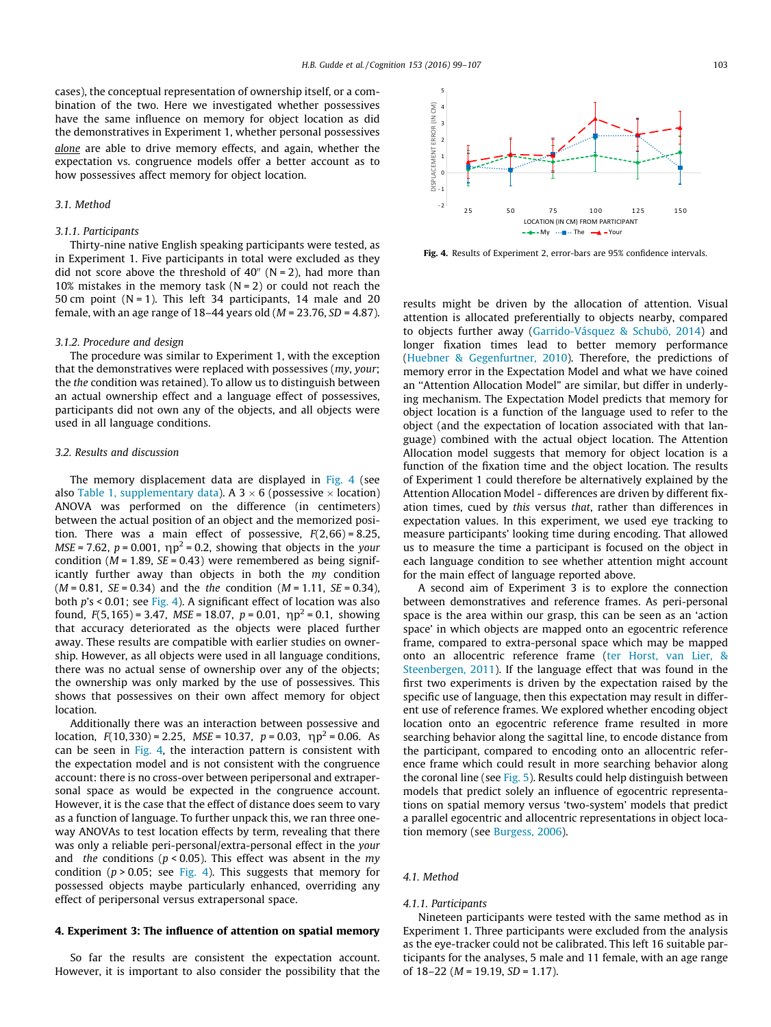cases), the conceptual representation of ownership itself, or a combination of the two. Here we investigated whether possessives have the same influence on memory for object location as did the demonstratives in Experiment 1, whether personal possessives alone are able to drive memory effects, and again, whether the expectation vs. congruence models offer a better account as to how possessives affect memory for object location.

#### 3.1. Method

#### 3.1.1. Participants

Thirty-nine native English speaking participants were tested, as in Experiment 1. Five participants in total were excluded as they did not score above the threshold of  $40^{\circ}$  (N = 2), had more than 10% mistakes in the memory task  $(N = 2)$  or could not reach the 50 cm point  $(N = 1)$ . This left 34 participants, 14 male and 20 female, with an age range of 18–44 years old ( $M = 23.76$ ,  $SD = 4.87$ ).

#### 3.1.2. Procedure and design

The procedure was similar to Experiment 1, with the exception that the demonstratives were replaced with possessives (my, your; the the condition was retained). To allow us to distinguish between an actual ownership effect and a language effect of possessives, participants did not own any of the objects, and all objects were used in all language conditions.

## 3.2. Results and discussion

The memory displacement data are displayed in Fig. 4 (see also Table 1, supplementary data). A 3  $\times$  6 (possessive  $\times$  location) ANOVA was performed on the difference (in centimeters) between the actual position of an object and the memorized position. There was a main effect of possessive,  $F(2,66) = 8.25$ ,  $MSE = 7.62$ ,  $p = 0.001$ ,  $np^2 = 0.2$ , showing that objects in the your condition ( $M = 1.89$ ,  $SE = 0.43$ ) were remembered as being significantly further away than objects in both the my condition  $(M = 0.81, SE = 0.34)$  and the the condition  $(M = 1.11, SE = 0.34)$ , both p's < 0.01; see Fig. 4). A significant effect of location was also found,  $F(5, 165) = 3.47$ ,  $MSE = 18.07$ ,  $p = 0.01$ ,  $\eta p^2 = 0.1$ , showing that accuracy deteriorated as the objects were placed further away. These results are compatible with earlier studies on ownership. However, as all objects were used in all language conditions, there was no actual sense of ownership over any of the objects; the ownership was only marked by the use of possessives. This shows that possessives on their own affect memory for object location.

Additionally there was an interaction between possessive and location,  $F(10,330) = 2.25$ ,  $MSE = 10.37$ ,  $p = 0.03$ ,  $np^2 = 0.06$ . As can be seen in Fig. 4, the interaction pattern is consistent with the expectation model and is not consistent with the congruence account: there is no cross-over between peripersonal and extrapersonal space as would be expected in the congruence account. However, it is the case that the effect of distance does seem to vary as a function of language. To further unpack this, we ran three oneway ANOVAs to test location effects by term, revealing that there was only a reliable peri-personal/extra-personal effect in the your and the conditions ( $p < 0.05$ ). This effect was absent in the my condition ( $p > 0.05$ ; see Fig. 4). This suggests that memory for possessed objects maybe particularly enhanced, overriding any effect of peripersonal versus extrapersonal space.

#### 4. Experiment 3: The influence of attention on spatial memory

So far the results are consistent the expectation account. However, it is important to also consider the possibility that the



Fig. 4. Results of Experiment 2, error-bars are 95% confidence intervals.

results might be driven by the allocation of attention. Visual attention is allocated preferentially to objects nearby, compared to objects further away ([Garrido-Vásquez & Schubö, 2014](#page-8-0)) and longer fixation times lead to better memory performance ([Huebner & Gegenfurtner, 2010](#page-8-0)). Therefore, the predictions of memory error in the Expectation Model and what we have coined an ''Attention Allocation Model" are similar, but differ in underlying mechanism. The Expectation Model predicts that memory for object location is a function of the language used to refer to the object (and the expectation of location associated with that language) combined with the actual object location. The Attention Allocation model suggests that memory for object location is a function of the fixation time and the object location. The results of Experiment 1 could therefore be alternatively explained by the Attention Allocation Model - differences are driven by different fixation times, cued by this versus that, rather than differences in expectation values. In this experiment, we used eye tracking to measure participants' looking time during encoding. That allowed us to measure the time a participant is focused on the object in each language condition to see whether attention might account for the main effect of language reported above.

A second aim of Experiment 3 is to explore the connection between demonstratives and reference frames. As peri-personal space is the area within our grasp, this can be seen as an 'action space' in which objects are mapped onto an egocentric reference frame, compared to extra-personal space which may be mapped onto an allocentric reference frame [\(ter Horst, van Lier, &](#page-8-0) [Steenbergen, 2011\)](#page-8-0). If the language effect that was found in the first two experiments is driven by the expectation raised by the specific use of language, then this expectation may result in different use of reference frames. We explored whether encoding object location onto an egocentric reference frame resulted in more searching behavior along the sagittal line, to encode distance from the participant, compared to encoding onto an allocentric reference frame which could result in more searching behavior along the coronal line (see [Fig. 5\)](#page-5-0). Results could help distinguish between models that predict solely an influence of egocentric representations on spatial memory versus 'two-system' models that predict a parallel egocentric and allocentric representations in object location memory (see [Burgess, 2006](#page-7-0)).

#### 4.1. Method

#### 4.1.1. Participants

Nineteen participants were tested with the same method as in Experiment 1. Three participants were excluded from the analysis as the eye-tracker could not be calibrated. This left 16 suitable participants for the analyses, 5 male and 11 female, with an age range of  $18-22$  (*M* = 19.19, *SD* = 1.17).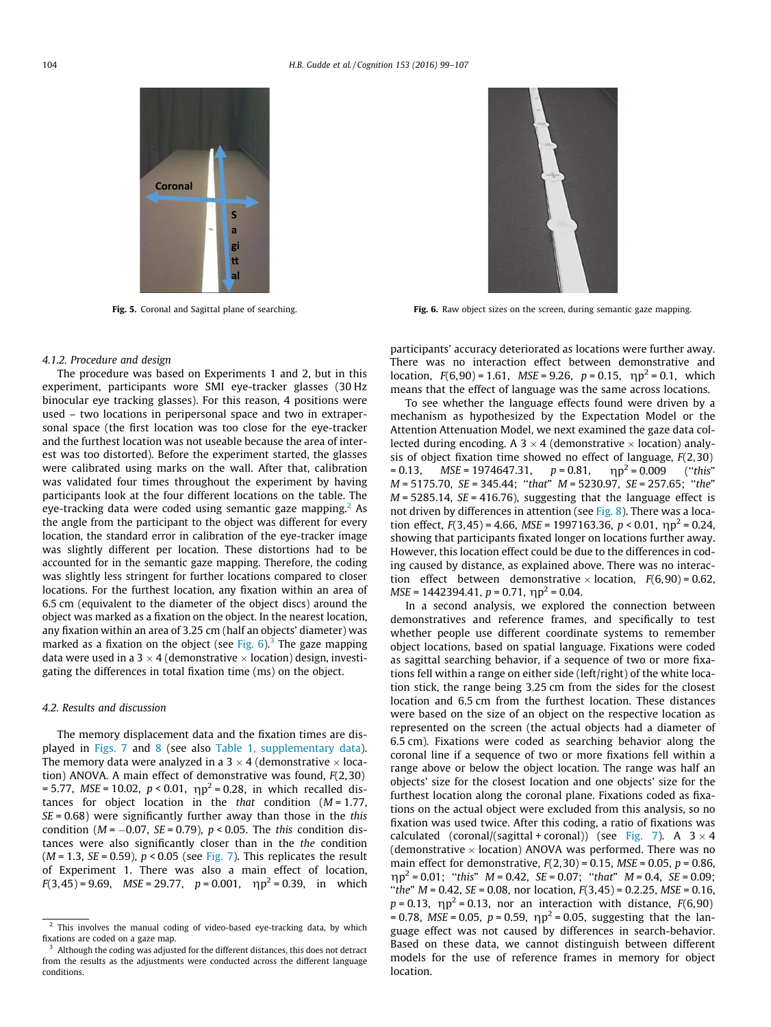<span id="page-5-0"></span>

#### 4.1.2. Procedure and design

The procedure was based on Experiments 1 and 2, but in this experiment, participants wore SMI eye-tracker glasses (30 Hz binocular eye tracking glasses). For this reason, 4 positions were used – two locations in peripersonal space and two in extrapersonal space (the first location was too close for the eye-tracker and the furthest location was not useable because the area of interest was too distorted). Before the experiment started, the glasses were calibrated using marks on the wall. After that, calibration was validated four times throughout the experiment by having participants look at the four different locations on the table. The eye-tracking data were coded using semantic gaze mapping.<sup>2</sup> As the angle from the participant to the object was different for every location, the standard error in calibration of the eye-tracker image was slightly different per location. These distortions had to be accounted for in the semantic gaze mapping. Therefore, the coding was slightly less stringent for further locations compared to closer locations. For the furthest location, any fixation within an area of 6.5 cm (equivalent to the diameter of the object discs) around the object was marked as a fixation on the object. In the nearest location, any fixation within an area of 3.25 cm (half an objects' diameter) was marked as a fixation on the object (see Fig.  $6$ ).<sup>3</sup> The gaze mapping data were used in a 3  $\times$  4 (demonstrative  $\times$  location) design, investigating the differences in total fixation time (ms) on the object.

#### 4.2. Results and discussion

The memory displacement data and the fixation times are displayed in [Figs. 7](#page-6-0) and [8](#page-6-0) (see also Table 1, supplementary data). The memory data were analyzed in a 3  $\times$  4 (demonstrative  $\times$  location) ANOVA. A main effect of demonstrative was found,  $F(2,30)$ = 5.77, MSE = 10.02,  $p < 0.01$ ,  $\eta p^2 = 0.28$ , in which recalled distances for object location in the that condition  $(M = 1.77)$ ,  $SE = 0.68$ ) were significantly further away than those in the this condition ( $M = -0.07$ ,  $SE = 0.79$ ),  $p < 0.05$ . The this condition distances were also significantly closer than in the the condition  $(M = 1.3, SE = 0.59)$ ,  $p < 0.05$  (see [Fig. 7](#page-6-0)). This replicates the result of Experiment 1. There was also a main effect of location,  $F(3,45) = 9.69$ ,  $MSE = 29.77$ ,  $p = 0.001$ ,  $np^2 = 0.39$ , in which



Fig. 5. Coronal and Sagittal plane of searching. The search of the screen, during semantic gaze mapping.

participants' accuracy deteriorated as locations were further away. There was no interaction effect between demonstrative and location,  $F(6,90) = 1.61$ ,  $MSE = 9.26$ ,  $p = 0.15$ ,  $np^2 = 0.1$ , which means that the effect of language was the same across locations.

To see whether the language effects found were driven by a mechanism as hypothesized by the Expectation Model or the Attention Attenuation Model, we next examined the gaze data collected during encoding. A  $3 \times 4$  (demonstrative  $\times$  location) analysis of object fixation time showed no effect of language,  $F(2,30)$ = 0.13,  $MSE = 1974647.31$ ,  $p = 0.81$ ,  $\eta p^2 = 0.009$  ("this"<br> $M = 5175.70$ ,  $SE = 345.44$ ; "that"  $M = 5230.97$ ,  $SE = 257.65$ ; "the"  $M = 5285.14$ ,  $SE = 416.76$ ), suggesting that the language effect is not driven by differences in attention (see [Fig. 8\)](#page-6-0). There was a location effect,  $F(3, 45) = 4.66$ ,  $MSE = 1997163.36$ ,  $p < 0.01$ ,  $np^2 = 0.24$ , showing that participants fixated longer on locations further away. However, this location effect could be due to the differences in coding caused by distance, as explained above. There was no interaction effect between demonstrative  $\times$  location,  $F(6,90) = 0.62$  $MSE = 1442394.41$ ,  $p = 0.71$ ,  $np^2 = 0.04$ .

In a second analysis, we explored the connection between demonstratives and reference frames, and specifically to test whether people use different coordinate systems to remember object locations, based on spatial language. Fixations were coded as sagittal searching behavior, if a sequence of two or more fixations fell within a range on either side (left/right) of the white location stick, the range being 3.25 cm from the sides for the closest location and 6.5 cm from the furthest location. These distances were based on the size of an object on the respective location as represented on the screen (the actual objects had a diameter of 6.5 cm). Fixations were coded as searching behavior along the coronal line if a sequence of two or more fixations fell within a range above or below the object location. The range was half an objects' size for the closest location and one objects' size for the furthest location along the coronal plane. Fixations coded as fixations on the actual object were excluded from this analysis, so no fixation was used twice. After this coding, a ratio of fixations was calculated (coronal/(sagittal + coronal)) (see [Fig. 7\)](#page-6-0). A  $3 \times 4$ (demonstrative  $\times$  location) ANOVA was performed. There was no main effect for demonstrative,  $F(2,30) = 0.15$ ,  $MSE = 0.05$ ,  $p = 0.86$ ,  $np^2 = 0.01$ ; "this"  $M = 0.42$ ,  $SE = 0.07$ ; "that"  $M = 0.4$ ,  $SE = 0.09$ ; "the"  $M = 0.42$ ,  $SE = 0.08$ , nor location,  $F(3,45) = 0.2.25$ ,  $MSE = 0.16$ ,  $p = 0.13$ ,  $\eta p^2 = 0.13$ , nor an interaction with distance,  $F(6,90)$ = 0.78, MSE = 0.05,  $p = 0.59$ ,  $\eta p^2 = 0.05$ , suggesting that the language effect was not caused by differences in search-behavior. Based on these data, we cannot distinguish between different models for the use of reference frames in memory for object location.

<sup>&</sup>lt;sup>2</sup> This involves the manual coding of video-based eye-tracking data, by which fixations are coded on a gaze map.

<sup>&</sup>lt;sup>3</sup> Although the coding was adjusted for the different distances, this does not detract from the results as the adjustments were conducted across the different language conditions.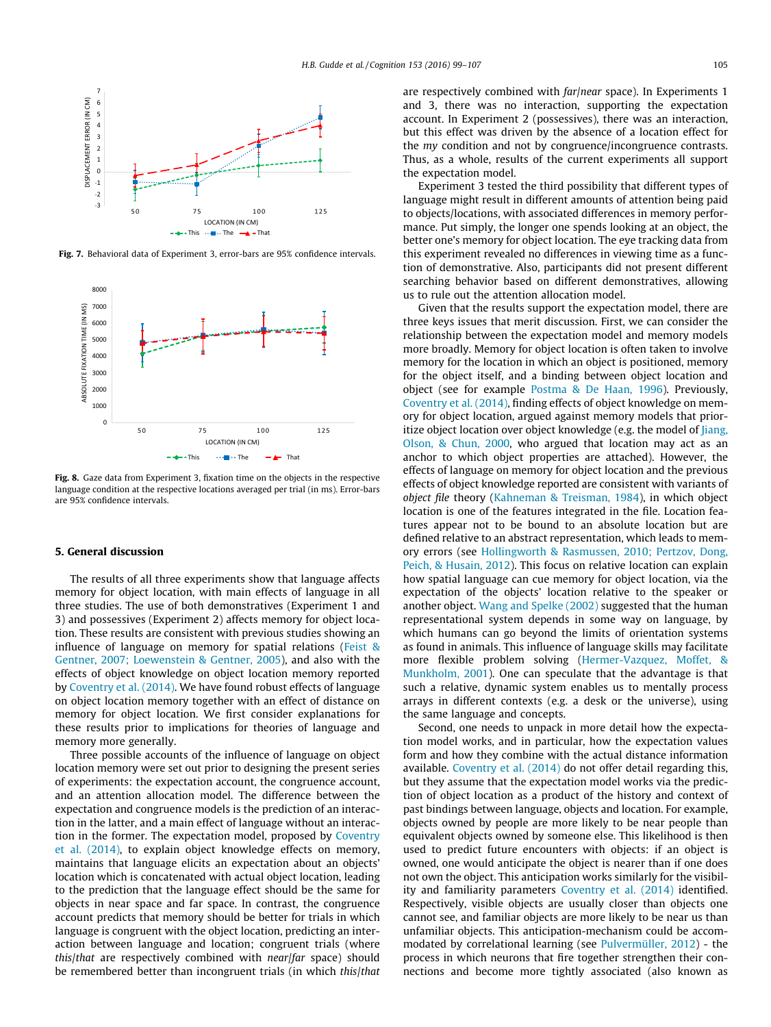<span id="page-6-0"></span>

Fig. 7. Behavioral data of Experiment 3, error-bars are 95% confidence intervals.



Fig. 8. Gaze data from Experiment 3, fixation time on the objects in the respective language condition at the respective locations averaged per trial (in ms). Error-bars are 95% confidence intervals.

#### 5. General discussion

The results of all three experiments show that language affects memory for object location, with main effects of language in all three studies. The use of both demonstratives (Experiment 1 and 3) and possessives (Experiment 2) affects memory for object location. These results are consistent with previous studies showing an influence of language on memory for spatial relations ([Feist &](#page-8-0) [Gentner, 2007; Loewenstein & Gentner, 2005](#page-8-0)), and also with the effects of object knowledge on object location memory reported by [Coventry et al. \(2014\).](#page-7-0) We have found robust effects of language on object location memory together with an effect of distance on memory for object location. We first consider explanations for these results prior to implications for theories of language and memory more generally.

Three possible accounts of the influence of language on object location memory were set out prior to designing the present series of experiments: the expectation account, the congruence account, and an attention allocation model. The difference between the expectation and congruence models is the prediction of an interaction in the latter, and a main effect of language without an interaction in the former. The expectation model, proposed by [Coventry](#page-7-0) [et al. \(2014\),](#page-7-0) to explain object knowledge effects on memory, maintains that language elicits an expectation about an objects' location which is concatenated with actual object location, leading to the prediction that the language effect should be the same for objects in near space and far space. In contrast, the congruence account predicts that memory should be better for trials in which language is congruent with the object location, predicting an interaction between language and location; congruent trials (where this/that are respectively combined with near/far space) should be remembered better than incongruent trials (in which this/that are respectively combined with far/near space). In Experiments 1 and 3, there was no interaction, supporting the expectation account. In Experiment 2 (possessives), there was an interaction, but this effect was driven by the absence of a location effect for the *my* condition and not by congruence/incongruence contrasts. Thus, as a whole, results of the current experiments all support the expectation model.

Experiment 3 tested the third possibility that different types of language might result in different amounts of attention being paid to objects/locations, with associated differences in memory performance. Put simply, the longer one spends looking at an object, the better one's memory for object location. The eye tracking data from this experiment revealed no differences in viewing time as a function of demonstrative. Also, participants did not present different searching behavior based on different demonstratives, allowing us to rule out the attention allocation model.

Given that the results support the expectation model, there are three keys issues that merit discussion. First, we can consider the relationship between the expectation model and memory models more broadly. Memory for object location is often taken to involve memory for the location in which an object is positioned, memory for the object itself, and a binding between object location and object (see for example [Postma & De Haan, 1996](#page-8-0)). Previously, [Coventry et al. \(2014\)](#page-7-0), finding effects of object knowledge on memory for object location, argued against memory models that prior-itize object location over object knowledge (e.g. the model of [Jiang,](#page-8-0) [Olson, & Chun, 2000,](#page-8-0) who argued that location may act as an anchor to which object properties are attached). However, the effects of language on memory for object location and the previous effects of object knowledge reported are consistent with variants of object file theory ([Kahneman & Treisman, 1984\)](#page-8-0), in which object location is one of the features integrated in the file. Location features appear not to be bound to an absolute location but are defined relative to an abstract representation, which leads to memory errors (see [Hollingworth & Rasmussen, 2010; Pertzov, Dong,](#page-8-0) [Peich, & Husain, 2012](#page-8-0)). This focus on relative location can explain how spatial language can cue memory for object location, via the expectation of the objects' location relative to the speaker or another object. [Wang and Spelke \(2002\)](#page-8-0) suggested that the human representational system depends in some way on language, by which humans can go beyond the limits of orientation systems as found in animals. This influence of language skills may facilitate more flexible problem solving ([Hermer-Vazquez, Moffet, &](#page-8-0) [Munkholm, 2001](#page-8-0)). One can speculate that the advantage is that such a relative, dynamic system enables us to mentally process arrays in different contexts (e.g. a desk or the universe), using the same language and concepts.

Second, one needs to unpack in more detail how the expectation model works, and in particular, how the expectation values form and how they combine with the actual distance information available. [Coventry et al. \(2014\)](#page-7-0) do not offer detail regarding this, but they assume that the expectation model works via the prediction of object location as a product of the history and context of past bindings between language, objects and location. For example, objects owned by people are more likely to be near people than equivalent objects owned by someone else. This likelihood is then used to predict future encounters with objects: if an object is owned, one would anticipate the object is nearer than if one does not own the object. This anticipation works similarly for the visibility and familiarity parameters [Coventry et al. \(2014\)](#page-7-0) identified. Respectively, visible objects are usually closer than objects one cannot see, and familiar objects are more likely to be near us than unfamiliar objects. This anticipation-mechanism could be accommodated by correlational learning (see [Pulvermüller, 2012\)](#page-8-0) - the process in which neurons that fire together strengthen their connections and become more tightly associated (also known as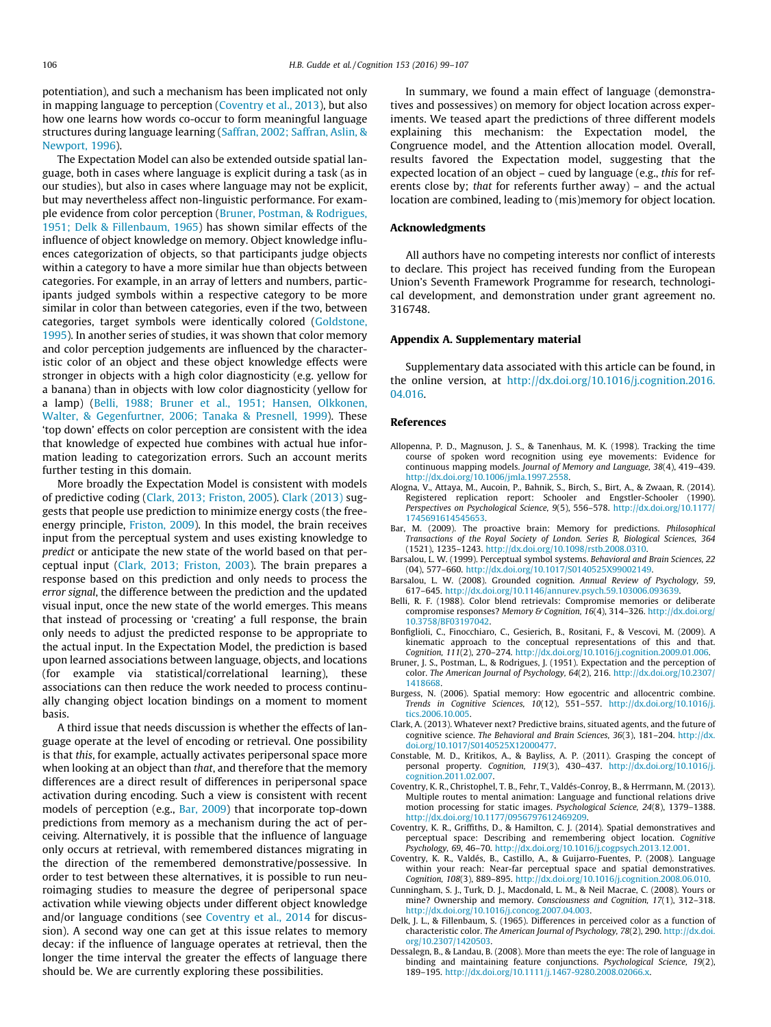<span id="page-7-0"></span>potentiation), and such a mechanism has been implicated not only in mapping language to perception (Coventry et al., 2013), but also how one learns how words co-occur to form meaningful language structures during language learning [\(Saffran, 2002; Saffran, Aslin, &](#page-8-0) [Newport, 1996](#page-8-0)).

The Expectation Model can also be extended outside spatial language, both in cases where language is explicit during a task (as in our studies), but also in cases where language may not be explicit, but may nevertheless affect non-linguistic performance. For example evidence from color perception (Bruner, Postman, & Rodrigues, 1951; Delk & Fillenbaum, 1965) has shown similar effects of the influence of object knowledge on memory. Object knowledge influences categorization of objects, so that participants judge objects within a category to have a more similar hue than objects between categories. For example, in an array of letters and numbers, participants judged symbols within a respective category to be more similar in color than between categories, even if the two, between categories, target symbols were identically colored ([Goldstone,](#page-8-0) [1995\)](#page-8-0). In another series of studies, it was shown that color memory and color perception judgements are influenced by the characteristic color of an object and these object knowledge effects were stronger in objects with a high color diagnosticity (e.g. yellow for a banana) than in objects with low color diagnosticity (yellow for a lamp) (Belli, 1988; Bruner et al., 1951; Hansen, Olkkonen, Walter, & Gegenfurtner, 2006; Tanaka & Presnell, 1999). These 'top down' effects on color perception are consistent with the idea that knowledge of expected hue combines with actual hue information leading to categorization errors. Such an account merits further testing in this domain.

More broadly the Expectation Model is consistent with models of predictive coding (Clark, 2013; Friston, 2005). Clark (2013) suggests that people use prediction to minimize energy costs (the freeenergy principle, [Friston, 2009](#page-8-0)). In this model, the brain receives input from the perceptual system and uses existing knowledge to predict or anticipate the new state of the world based on that perceptual input (Clark, 2013; Friston, 2003). The brain prepares a response based on this prediction and only needs to process the error signal, the difference between the prediction and the updated visual input, once the new state of the world emerges. This means that instead of processing or 'creating' a full response, the brain only needs to adjust the predicted response to be appropriate to the actual input. In the Expectation Model, the prediction is based upon learned associations between language, objects, and locations (for example via statistical/correlational learning), these associations can then reduce the work needed to process continually changing object location bindings on a moment to moment basis.

A third issue that needs discussion is whether the effects of language operate at the level of encoding or retrieval. One possibility is that this, for example, actually activates peripersonal space more when looking at an object than that, and therefore that the memory differences are a direct result of differences in peripersonal space activation during encoding. Such a view is consistent with recent models of perception (e.g., Bar, 2009) that incorporate top-down predictions from memory as a mechanism during the act of perceiving. Alternatively, it is possible that the influence of language only occurs at retrieval, with remembered distances migrating in the direction of the remembered demonstrative/possessive. In order to test between these alternatives, it is possible to run neuroimaging studies to measure the degree of peripersonal space activation while viewing objects under different object knowledge and/or language conditions (see Coventry et al., 2014 for discussion). A second way one can get at this issue relates to memory decay: if the influence of language operates at retrieval, then the longer the time interval the greater the effects of language there should be. We are currently exploring these possibilities.

In summary, we found a main effect of language (demonstratives and possessives) on memory for object location across experiments. We teased apart the predictions of three different models explaining this mechanism: the Expectation model, the Congruence model, and the Attention allocation model. Overall, results favored the Expectation model, suggesting that the expected location of an object – cued by language (e.g., this for referents close by; that for referents further away) – and the actual location are combined, leading to (mis)memory for object location.

#### Acknowledgments

All authors have no competing interests nor conflict of interests to declare. This project has received funding from the European Union's Seventh Framework Programme for research, technological development, and demonstration under grant agreement no. 316748.

#### Appendix A. Supplementary material

Supplementary data associated with this article can be found, in the online version, at [http://dx.doi.org/10.1016/j.cognition.2016.](http://dx.doi.org/10.1016/j.cognition.2016.04.016) [04.016](http://dx.doi.org/10.1016/j.cognition.2016.04.016).

## References

- Allopenna, P. D., Magnuson, J. S., & Tanenhaus, M. K. (1998). Tracking the time course of spoken word recognition using eye movements: Evidence for continuous mapping models. Journal of Memory and Language, 38(4), 419–439. <http://dx.doi.org/10.1006/jmla.1997.2558>.
- Alogna, V., Attaya, M., Aucoin, P., Bahnik, S., Birch, S., Birt, A., & Zwaan, R. (2014). Registered replication report: Schooler and Engstler-Schooler (1990). Perspectives on Psychological Science, 9(5), 556–578. [http://dx.doi.org/10.1177/](http://dx.doi.org/10.1177/1745691614545653) [1745691614545653.](http://dx.doi.org/10.1177/1745691614545653)
- Bar, M. (2009). The proactive brain: Memory for predictions. Philosophical Transactions of the Royal Society of London. Series B, Biological Sciences, 364 (1521), 1235–1243. <http://dx.doi.org/10.1098/rstb.2008.0310>.
- Barsalou, L. W. (1999). Perceptual symbol systems. Behavioral and Brain Sciences, 22 (04), 577–660. [http://dx.doi.org/10.1017/S0140525X99002149.](http://dx.doi.org/10.1017/S0140525X99002149)
- Barsalou, L. W. (2008). Grounded cognition. Annual Review of Psychology, 59, 617–645. [http://dx.doi.org/10.1146/annurev.psych.59.103006.093639.](http://dx.doi.org/10.1146/annurev.psych.59.103006.093639)
- Belli, R. F. (1988). Color blend retrievals: Compromise memories or deliberate compromise responses? Memory & Cognition, 16(4), 314–326. [http://dx.doi.org/](http://dx.doi.org/10.3758/BF03197042) [10.3758/BF03197042](http://dx.doi.org/10.3758/BF03197042).
- Bonfiglioli, C., Finocchiaro, C., Gesierich, B., Rositani, F., & Vescovi, M. (2009). A kinematic approach to the conceptual representations of this and that. Cognition, 111(2), 270–274. [http://dx.doi.org/10.1016/j.cognition.2009.01.006.](http://dx.doi.org/10.1016/j.cognition.2009.01.006)
- Bruner, J. S., Postman, L., & Rodrigues, J. (1951). Expectation and the perception of color. The American Journal of Psychology, 64(2), 216. [http://dx.doi.org/10.2307/](http://dx.doi.org/10.2307/1418668) [1418668](http://dx.doi.org/10.2307/1418668).
- Burgess, N. (2006). Spatial memory: How egocentric and allocentric combine. Trends in Cognitive Sciences, 10(12), 551–557. [http://dx.doi.org/10.1016/j.](http://dx.doi.org/10.1016/j.tics.2006.10.005) [tics.2006.10.005.](http://dx.doi.org/10.1016/j.tics.2006.10.005)
- Clark, A. (2013). Whatever next? Predictive brains, situated agents, and the future of cognitive science. The Behavioral and Brain Sciences, 36(3), 181-204. [http://dx.](http://dx.doi.org/10.1017/S0140525X12000477) [doi.org/10.1017/S0140525X12000477](http://dx.doi.org/10.1017/S0140525X12000477).
- Constable, M. D., Kritikos, A., & Bayliss, A. P. (2011). Grasping the concept of personal property. Cognition, 119(3), 430–437. [http://dx.doi.org/10.1016/j.](http://dx.doi.org/10.1016/j.cognition.2011.02.007) [cognition.2011.02.007.](http://dx.doi.org/10.1016/j.cognition.2011.02.007)
- Coventry, K. R., Christophel, T. B., Fehr, T., Valdés-Conroy, B., & Herrmann, M. (2013). Multiple routes to mental animation: Language and functional relations drive motion processing for static images. Psychological Science, 24(8), 1379–1388. <http://dx.doi.org/10.1177/0956797612469209>.
- Coventry, K. R., Griffiths, D., & Hamilton, C. J. (2014). Spatial demonstratives and perceptual space: Describing and remembering object location. Cognitive Psychology, 69, 46–70. [http://dx.doi.org/10.1016/j.cogpsych.2013.12.001.](http://dx.doi.org/10.1016/j.cogpsych.2013.12.001)
- Coventry, K. R., Valdés, B., Castillo, A., & Guijarro-Fuentes, P. (2008). Language within your reach: Near-far perceptual space and spatial demonstratives. Cognition, 108(3), 889–895. [http://dx.doi.org/10.1016/j.cognition.2008.06.010.](http://dx.doi.org/10.1016/j.cognition.2008.06.010)
- Cunningham, S. J., Turk, D. J., Macdonald, L. M., & Neil Macrae, C. (2008). Yours or mine? Ownership and memory. Consciousness and Cognition, 17(1), 312–318. [http://dx.doi.org/10.1016/j.concog.2007.04.003.](http://dx.doi.org/10.1016/j.concog.2007.04.003)
- Delk, J. L., & Fillenbaum, S. (1965). Differences in perceived color as a function of characteristic color. The American Journal of Psychology, 78(2), 290. [http://dx.doi.](http://dx.doi.org/10.2307/1420503) [org/10.2307/1420503](http://dx.doi.org/10.2307/1420503).
- Dessalegn, B., & Landau, B. (2008). More than meets the eye: The role of language in binding and maintaining feature conjunctions. Psychological Science, 19(2), 189–195. [http://dx.doi.org/10.1111/j.1467-9280.2008.02066.x.](http://dx.doi.org/10.1111/j.1467-9280.2008.02066.x)